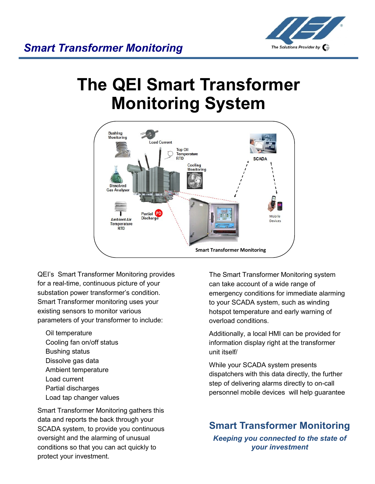

# **The QEI Smart Transformer Monitoring System**



QEI's Smart Transformer Monitoring provides for a real-time, continuous picture of your substation power transformer's condition. Smart Transformer monitoring uses your existing sensors to monitor various parameters of your transformer to include:

Oil temperature Cooling fan on/off status Bushing status Dissolve gas data Ambient temperature Load current Partial discharges Load tap changer values

Smart Transformer Monitoring gathers this data and reports the back through your SCADA system, to provide you continuous oversight and the alarming of unusual conditions so that you can act quickly to protect your investment.

The Smart Transformer Monitoring system can take account of a wide range of emergency conditions for immediate alarming to your SCADA system, such as winding hotspot temperature and early warning of overload conditions.

Additionally, a local HMI can be provided for information display right at the transformer unit itself/

While your SCADA system presents dispatchers with this data directly, the further step of delivering alarms directly to on-call personnel mobile devices will help guarantee

#### **Smart Transformer Monitoring**

*Keeping you connected to the state of your investment*